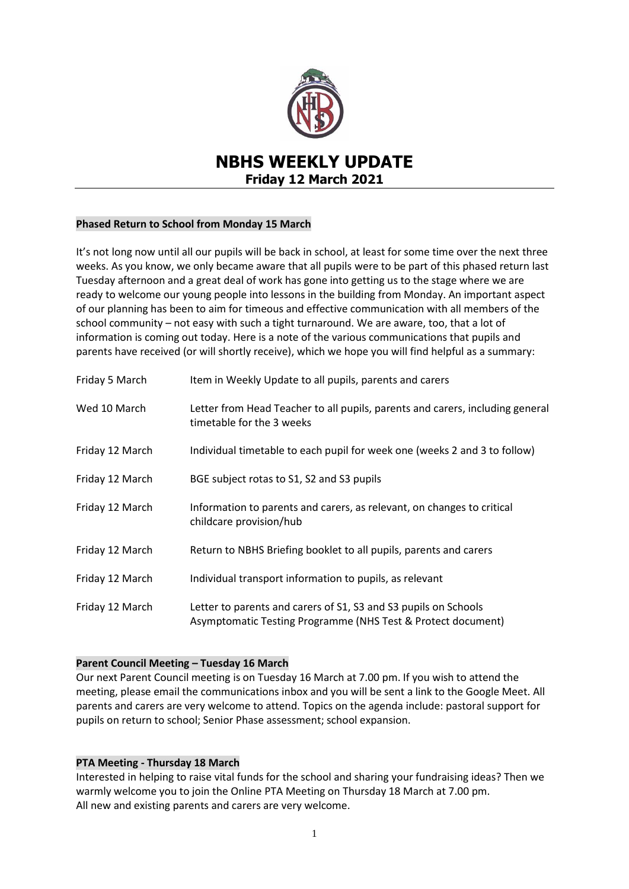

# **NBHS WEEKLY UPDATE Friday 12 March 2021**

## **Phased Return to School from Monday 15 March**

It's not long now until all our pupils will be back in school, at least for some time over the next three weeks. As you know, we only became aware that all pupils were to be part of this phased return last Tuesday afternoon and a great deal of work has gone into getting us to the stage where we are ready to welcome our young people into lessons in the building from Monday. An important aspect of our planning has been to aim for timeous and effective communication with all members of the school community – not easy with such a tight turnaround. We are aware, too, that a lot of information is coming out today. Here is a note of the various communications that pupils and parents have received (or will shortly receive), which we hope you will find helpful as a summary:

| Friday 5 March  | Item in Weekly Update to all pupils, parents and carers                                                                         |
|-----------------|---------------------------------------------------------------------------------------------------------------------------------|
| Wed 10 March    | Letter from Head Teacher to all pupils, parents and carers, including general<br>timetable for the 3 weeks                      |
| Friday 12 March | Individual timetable to each pupil for week one (weeks 2 and 3 to follow)                                                       |
| Friday 12 March | BGE subject rotas to S1, S2 and S3 pupils                                                                                       |
| Friday 12 March | Information to parents and carers, as relevant, on changes to critical<br>childcare provision/hub                               |
| Friday 12 March | Return to NBHS Briefing booklet to all pupils, parents and carers                                                               |
| Friday 12 March | Individual transport information to pupils, as relevant                                                                         |
| Friday 12 March | Letter to parents and carers of S1, S3 and S3 pupils on Schools<br>Asymptomatic Testing Programme (NHS Test & Protect document) |

## **Parent Council Meeting – Tuesday 16 March**

Our next Parent Council meeting is on Tuesday 16 March at 7.00 pm. If you wish to attend the meeting, please email the communications inbox and you will be sent a link to the Google Meet. All parents and carers are very welcome to attend. Topics on the agenda include: pastoral support for pupils on return to school; Senior Phase assessment; school expansion.

## **PTA Meeting - Thursday 18 March**

Interested in helping to raise vital funds for the school and sharing your fundraising ideas? Then we warmly welcome you to join the Online PTA Meeting on Thursday 18 March at 7.00 pm. All new and existing parents and carers are very welcome.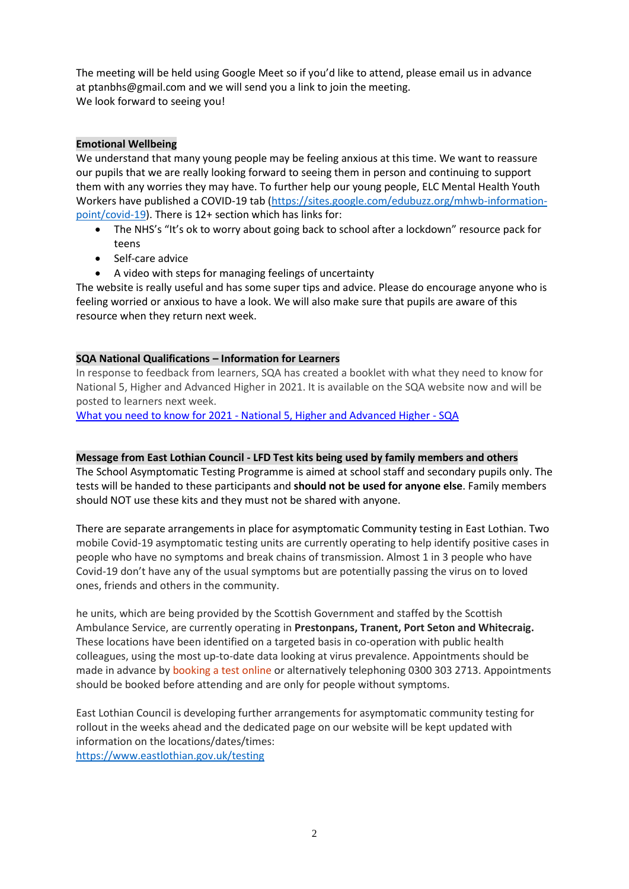The meeting will be held using Google Meet so if you'd like to attend, please email us in advance at [ptanbhs@gmail.com](mailto:ptanbhs@gmail.com) and we will send you a link to join the meeting. We look forward to seeing you!

## **Emotional Wellbeing**

We understand that many young people may be feeling anxious at this time. We want to reassure our pupils that we are really looking forward to seeing them in person and continuing to support them with any worries they may have. To further help our young people, ELC Mental Health Youth Workers have published a COVID-19 tab [\(https://sites.google.com/edubuzz.org/mhwb-information](https://sites.google.com/edubuzz.org/mhwb-information-point/covid-19)[point/covid-19\)](https://sites.google.com/edubuzz.org/mhwb-information-point/covid-19). There is 12+ section which has links for:

- The NHS's "It's ok to worry about going back to school after a lockdown" resource pack for teens
- Self-care advice
- A video with steps for managing feelings of uncertainty

The website is really useful and has some super tips and advice. Please do encourage anyone who is feeling worried or anxious to have a look. We will also make sure that pupils are aware of this resource when they return next week.

## **SQA National Qualifications – Information for Learners**

In response to feedback from learners, SQA has created a booklet with what they need to know for National 5, Higher and Advanced Higher in 2021. It is available on the SQA website now and will be posted to learners next week.

What you need to know for 2021 - [National 5, Higher and Advanced Higher -](https://www.sqa.org.uk/sqa/97062.html?utm_source=parentemail&utm_medium=email&utm_campaign=nq2021learner&utm_content=learnerbooklet&mkt_tok=NTA1LVlCSC0zMDAAAAF7wRiuHrWSyKVO3cyqo2aJvQ7aS7APxLe5Bj0BHHZBoo1didIuneYSWqt3mLjI6fqdmlEJgPIy1GMsiWrv4QyC0mYGiSQfzgTsvUmePnS4) SQA

## **Message from East Lothian Council - LFD Test kits being used by family members and others**

The School Asymptomatic Testing Programme is aimed at school staff and secondary pupils only. The tests will be handed to these participants and **should not be used for anyone else**. Family members should NOT use these kits and they must not be shared with anyone.

There are separate arrangements in place for asymptomatic Community testing in East Lothian. Two mobile Covid-19 asymptomatic testing units are currently operating to help identify positive cases in people who have no symptoms and break chains of transmission. Almost 1 in 3 people who have Covid-19 don't have any of the usual symptoms but are potentially passing the virus on to loved ones, friends and others in the community.

he units, which are being provided by the Scottish Government and staffed by the Scottish Ambulance Service, are currently operating in **Prestonpans, Tranent, Port Seton and Whitecraig.** These locations have been identified on a targeted basis in co-operation with public health colleagues, using the most up-to-date data looking at virus prevalence. Appointments should be made in advance b[y booking a test online](https://self-referral.test-for-coronavirus.service.gov.uk/antigen/essential-worker) or alternatively telephoning 0300 303 2713. Appointments should be booked before attending and are only for people without symptoms.

East Lothian Council is developing further arrangements for asymptomatic community testing for rollout in the weeks ahead and the dedicated page on our website will be kept updated with information on the locations/dates/times: <https://www.eastlothian.gov.uk/testing>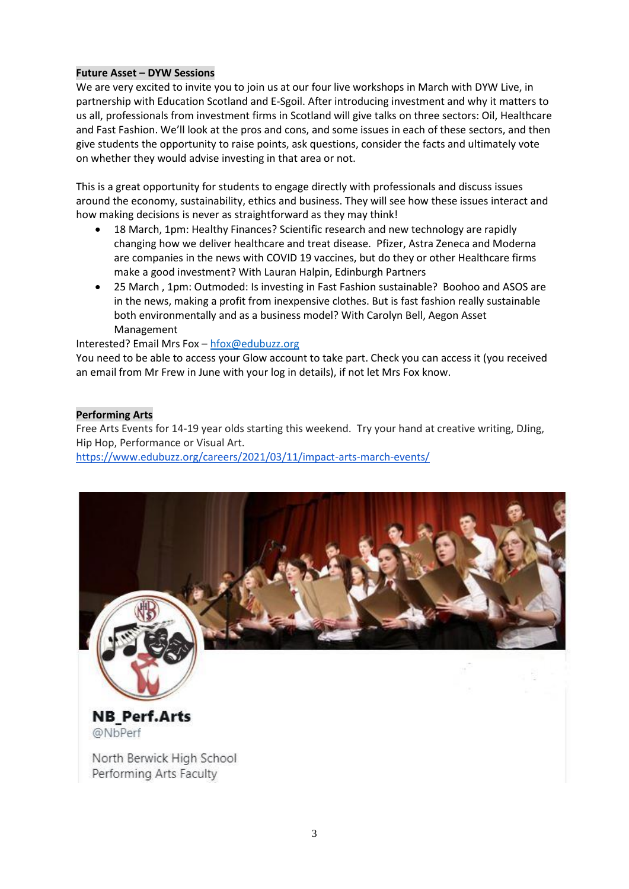## **Future Asset – DYW Sessions**

We are very excited to invite you to join us at our four live workshops in March with DYW Live, in partnership with Education Scotland and E-Sgoil. After introducing investment and why it matters to us all, professionals from investment firms in Scotland will give talks on three sectors: Oil, Healthcare and Fast Fashion. We'll look at the pros and cons, and some issues in each of these sectors, and then give students the opportunity to raise points, ask questions, consider the facts and ultimately vote on whether they would advise investing in that area or not.

This is a great opportunity for students to engage directly with professionals and discuss issues around the economy, sustainability, ethics and business. They will see how these issues interact and how making decisions is never as straightforward as they may think!

- 18 March, 1pm: Healthy Finances? Scientific research and new technology are rapidly changing how we deliver healthcare and treat disease. Pfizer, Astra Zeneca and Moderna are companies in the news with COVID 19 vaccines, but do they or other Healthcare firms make a good investment? With Lauran Halpin, Edinburgh Partners
- 25 March , 1pm: Outmoded: Is investing in Fast Fashion sustainable? Boohoo and ASOS are in the news, making a profit from inexpensive clothes. But is fast fashion really sustainable both environmentally and as a business model? With Carolyn Bell, Aegon Asset Management

Interested? Email Mrs Fox – [hfox@edubuzz.org](mailto:hfox@edubuzz.org)

You need to be able to access your Glow account to take part. Check you can access it (you received an email from Mr Frew in June with your log in details), if not let Mrs Fox know.

## **Performing Arts**

Free Arts Events for 14-19 year olds starting this weekend. Try your hand at creative writing, DJing, Hip Hop, Performance or Visual Art.

<https://www.edubuzz.org/careers/2021/03/11/impact-arts-march-events/>



North Berwick High School Performing Arts Faculty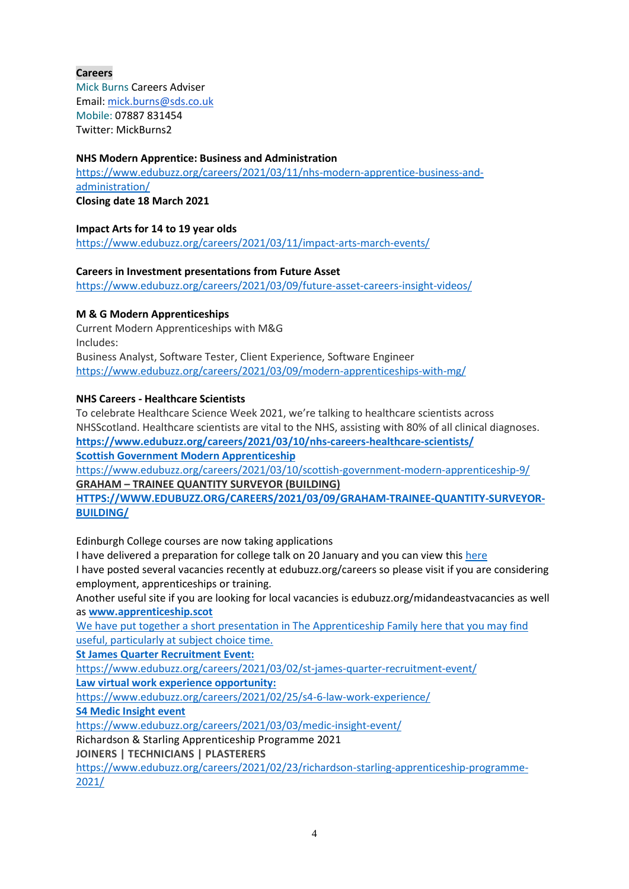## **Careers**

Mick Burns Careers Adviser Email: [mick.burns@sds.co.uk](https://mail.elcschool.org.uk/owa/redir.aspx?C=fbGa3DGVrsUoQB2CnJP23eXwMGzxu7J1CtarT6dTOwkq_NlpJujXCA..&URL=mailto%3amick.burns%40sds.co.uk) Mobile: 07887 831454 Twitter: MickBurns2

## **NHS Modern Apprentice: Business and Administration**

[https://www.edubuzz.org/careers/2021/03/11/nhs-modern-apprentice-business-and](https://www.edubuzz.org/careers/2021/03/11/nhs-modern-apprentice-business-and-administration/)[administration/](https://www.edubuzz.org/careers/2021/03/11/nhs-modern-apprentice-business-and-administration/)

**Closing date 18 March 2021**

#### **Impact Arts for 14 to 19 year olds** <https://www.edubuzz.org/careers/2021/03/11/impact-arts-march-events/>

## **Careers in Investment presentations from Future Asset**

<https://www.edubuzz.org/careers/2021/03/09/future-asset-careers-insight-videos/>

## **M & G Modern Apprenticeships**

Current Modern Apprenticeships with M&G Includes: Business Analyst, Software Tester, Client Experience, Software Engineer <https://www.edubuzz.org/careers/2021/03/09/modern-apprenticeships-with-mg/>

## **NHS Careers - Healthcare Scientists**

To celebrate Healthcare Science Week 2021, we're talking to healthcare scientists across NHSScotland. Healthcare scientists are vital to the NHS, assisting with 80% of all clinical diagnoses. **<https://www.edubuzz.org/careers/2021/03/10/nhs-careers-healthcare-scientists/> Scottish Government Modern Apprenticeship**

<https://www.edubuzz.org/careers/2021/03/10/scottish-government-modern-apprenticeship-9/> **GRAHAM – TRAINEE QUANTITY SURVEYOR [\(BUILDING\)](https://www.edubuzz.org/careers/2021/03/09/graham-trainee-quantity-surveyor-building/)**

**[HTTPS://WWW.EDUBUZZ.ORG/CAREERS/2021/03/09/GRAHAM-TRAINEE-QUANTITY-SURVEYOR-](https://www.edubuzz.org/careers/2021/03/09/graham-trainee-quantity-surveyor-building/)[BUILDING/](https://www.edubuzz.org/careers/2021/03/09/graham-trainee-quantity-surveyor-building/)**

Edinburgh College courses are now taking applications

I have delivered a preparation for college talk on 20 January and you can view thi[s here](https://www.edubuzz.org/careers/2017/12/06/applying-for-college-2018/) I have posted several vacancies recently at edubuzz.org/careers so please visit if you are considering employment, apprenticeships or training.

Another useful site if you are looking for local vacancies is edubuzz.org/midandeastvacancies as well as **[www.apprenticeship.scot](http://www.apprenticeship.scot/)**

We have put together a short presentation in The Apprenticeship Family [here](https://www.edubuzz.org/careers/2021/01/21/apprenticeship-family/) that you may find useful, particularly at subject choice time.

**St James Quarter Recruitment Event:**

<https://www.edubuzz.org/careers/2021/03/02/st-james-quarter-recruitment-event/>

**Law virtual work experience opportunity:**

<https://www.edubuzz.org/careers/2021/02/25/s4-6-law-work-experience/>

**S4 Medic Insight event**

<https://www.edubuzz.org/careers/2021/03/03/medic-insight-event/>

Richardson & Starling Apprenticeship Programme 2021

**JOINERS | TECHNICIANS | PLASTERERS**

[https://www.edubuzz.org/careers/2021/02/23/richardson-starling-apprenticeship-programme-](https://www.edubuzz.org/careers/2021/02/23/richardson-starling-apprenticeship-programme-2021/)[2021/](https://www.edubuzz.org/careers/2021/02/23/richardson-starling-apprenticeship-programme-2021/)